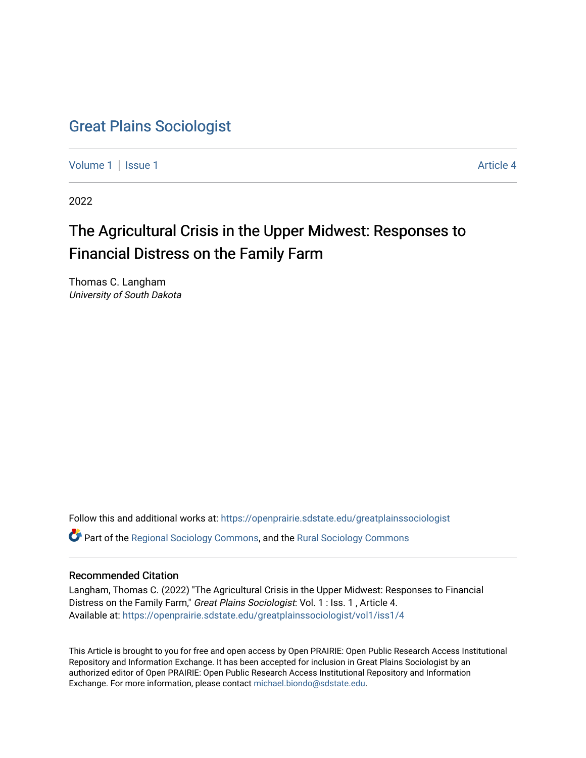# [Great Plains Sociologist](https://openprairie.sdstate.edu/greatplainssociologist)

[Volume 1](https://openprairie.sdstate.edu/greatplainssociologist/vol1) | [Issue 1](https://openprairie.sdstate.edu/greatplainssociologist/vol1/iss1) Article 4

2022

# The Agricultural Crisis in the Upper Midwest: Responses to Financial Distress on the Family Farm

Thomas C. Langham University of South Dakota

Follow this and additional works at: [https://openprairie.sdstate.edu/greatplainssociologist](https://openprairie.sdstate.edu/greatplainssociologist?utm_source=openprairie.sdstate.edu%2Fgreatplainssociologist%2Fvol1%2Fiss1%2F4&utm_medium=PDF&utm_campaign=PDFCoverPages) 

Part of the [Regional Sociology Commons](http://network.bepress.com/hgg/discipline/427?utm_source=openprairie.sdstate.edu%2Fgreatplainssociologist%2Fvol1%2Fiss1%2F4&utm_medium=PDF&utm_campaign=PDFCoverPages), and the [Rural Sociology Commons](http://network.bepress.com/hgg/discipline/428?utm_source=openprairie.sdstate.edu%2Fgreatplainssociologist%2Fvol1%2Fiss1%2F4&utm_medium=PDF&utm_campaign=PDFCoverPages) 

### Recommended Citation

Langham, Thomas C. (2022) "The Agricultural Crisis in the Upper Midwest: Responses to Financial Distress on the Family Farm," Great Plains Sociologist: Vol. 1 : Iss. 1, Article 4. Available at: [https://openprairie.sdstate.edu/greatplainssociologist/vol1/iss1/4](https://openprairie.sdstate.edu/greatplainssociologist/vol1/iss1/4?utm_source=openprairie.sdstate.edu%2Fgreatplainssociologist%2Fvol1%2Fiss1%2F4&utm_medium=PDF&utm_campaign=PDFCoverPages) 

This Article is brought to you for free and open access by Open PRAIRIE: Open Public Research Access Institutional Repository and Information Exchange. It has been accepted for inclusion in Great Plains Sociologist by an authorized editor of Open PRAIRIE: Open Public Research Access Institutional Repository and Information Exchange. For more information, please contact [michael.biondo@sdstate.edu.](mailto:michael.biondo@sdstate.edu)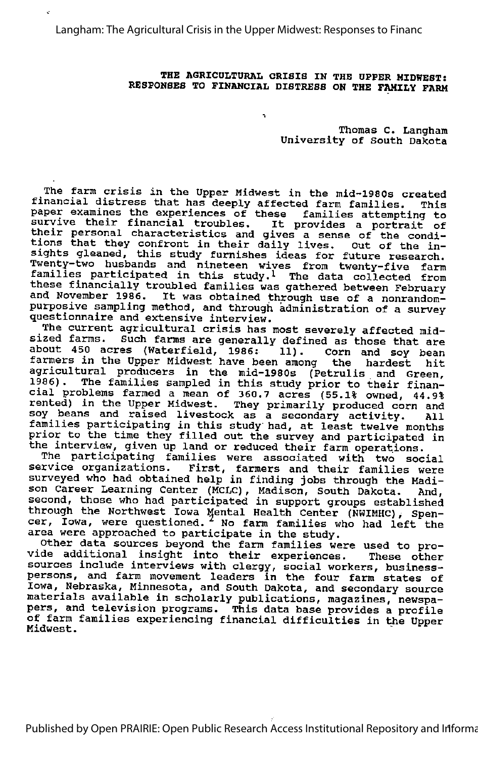Langham: The Agricultural Crisis in the Upper Midwest: Responses to Financ

#### THE AGRICULTURAL CRISIS IN THE UPPER MIDWEST: RESPONSES TO FINANCIAL DISTRESS ON THE FAMILY FARM

 $\hat{\mathbf{r}}$ 

Thonas C. Langhan University of South Dakota

The farm crisis in the Upper Midwest in the mid-1980s created financial distress that has deeply affected farm families. This paper examines the experiences of these families attempting to paper examines the experiences of these families attempting to<br>survive their financial troubles. It provides a portrait of eartive energ financial croubles. It provides a portrait c<br>their personal characteristics and gives a sense of the condi encir personal characteristics and gives a sense of the conditions that they confront in their daily lives. Out of the in sights gleaned, this study furnishes ideas for future research. Twenty-two husbands and nineteen wives from twenty-five farm families participated in this study.1 The data collected from these financially troubled families was gathered between February and November 1986. It was obtained through use of <sup>a</sup> nonrandompurposive sampling method, and through administration of a survey questionnaire and extensive interview.

The current agricultural crisis has most severely affected mid sized farms. Such farms are generally defined as those that are about 450 acres (Waterfield, 1986: 11). Corn and soy bean farmers in the Upper Midwest have been among the hardest hit agricultural producers in the mid-1980s (Petrulis and Green, 1986). The families sampled in this study prior to their finan cial problems farmed a mean of 360.7 acres (55.1% owned, 44.9% The Freezems farmed d mean of 500., acres (55.1% owned, 44.9%) soy beans and raised livestock as a secondary activity. All sof bodis and taised fivestock as a secondary activity. All<br>families participating in this study had, at least twelve months prior to the time they filled out the survey and participated in the interview, given up land or reduced their farm operations.

The participating families were associated with two social service organizations. First, farmers and their families were surveyed who had obtained help in finding jobs through the Madi son Career Learning Center (MCLC), Madison, South Dakota. And, second, those who had participated in support groups established through the Northwest Iowa Mental Health Center (NWIMHC), Spen cer, Iowa, were questioned. ^ No farm families who had left the area were approached to participate in the study.

area were approached to participate in the study.<br>Other data sources beyond the farm families were used to pro-<br>vide additional insight into their experiences. These other sources include interviews with clergy, social workers, businesspersons, and farm movement leaders in the four farm states of Iowa, Nebraska, Minnesota, and South Dakota, and secondary source materials available in scholarly publications, magazines, newspa pers, and television programs. This data base provides a profile of farm families experiencing financial difficulties in the Upper Midwest.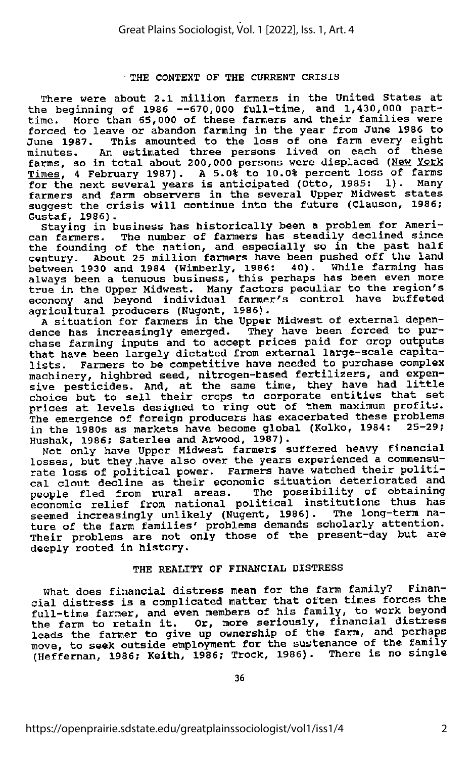#### THE CONTEXT OF THE CURRENT CRISIS

There were about 2.1 million farmers in the United States at the beginning of 1986 —670,000 full-time, and 1,430,000 parttime. More than 65,000 of these farmers and their families were forced to leave or abandon farming in the year from June 1986 to June 1987. This amounted to the loss of one farm every eight minutes. An estimated three persons lived on each of these farms, so in total about 200,000 persons were displaced (New York  $Times$ , 4 February 1987). A 5.0% to 10.0% percent loss of farms<br>for the next several vears is anticipated (Otto, 1985: 1). Many</u> for the next several years is anticipated (Otto, 1985: farmers and farm observers in the several Upper Midwest states suggest the crisis will continue into the future (Clauson, 1986;

Gustaf, 1986).<br>Staying in business has historically been a problem for Ameri-Staying in business has historically been a problem for Ameri-<br>can farmers. The number of farmers has steadily declined since the founding of the nation, and especially so in the past half century. About 25 million farmers have been pushed off the land between 1930 and 1984 (Wimberly, 1986; 40). While farming has always been <sup>a</sup> tenuous business, this perhaps has been even more true in the Upper Midwest. Many factors peculiar to the region's economy and beyond individual farmer's control have buffeted agricultural producers (Nugent, 1986).

A situation for farmers in the Upper Midwest of external depen dence has increasingly emerged. They have been forced to pur chase farming inputs and to accept prices paid for crop outputs that have been largely dictated from external large-scale capita-<br>lists. Farmers to be competitive have needed to purchase complex Farmers to be competitive have needed to purchase complex machinery, highbred seed, nitrogen-based fertilizers, and expensive pesticides. And, at the same time, they have had little choice but to sell their crops to corporate entities that set prices at levels designed to ring out of them maximum profits. The emergence of foreign producers has exacerbated these problems<br>in the 1980s as markets have become global (Kolko, 1984; 25-29; in the 1980s as markets have become global (Kolko, 1984: Hushak, 1986; Saterlee and Arwood, 1987).

Inco, action of the Upper Midwest farmers suffered heavy financial losses, but they have also over the years experienced a commensu rate loss of political power. Farmers have watched their politi cal clout decline as their economic situation deteriorated and people fled from rural areas. The possibility of obtaining economic relief from national political institutions thus has seemed increasingly unlikely (Nugent, 1986). The long-term nature of the farm families' problems demands scholarly attention. Their problems are not only those of the present-day but are deeply rooted in history.

#### THE REALITY OF FINANCIAL DISTRESS

What does financial distress mean for the farm family? Financial distress is a complicated matter that often times forces the Full-time farmer, and even members of his family, to work beyond<br>the farm to retain it. Or, more seriously, financial distress leads the farmer to give up ownership of the farm, and perhaps move, to seek outside employment for the sustenance of the family (Heffernan, 1986; Keith, 1986; Trock, 1986). There is no single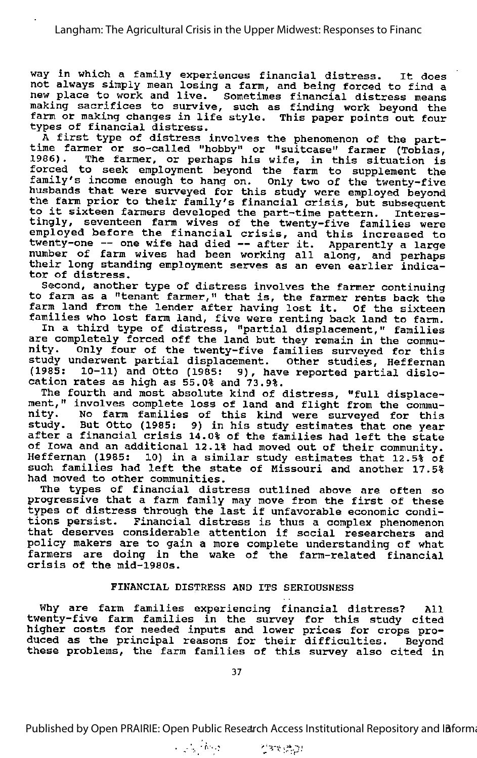way in which <sup>a</sup> family experiences financial distress. It does not always simply mean losing a farm, and being forced to find a new place to work and live. Sometimes financial distress means making sacrifices to survive, such as finding work beyond the farm or making changes in life style. This paper points out four

types of financial distress.<br>A first type of distress involves the phenomenon of the parttime farmer or so-called "hobby" or "suitcase" farmer (Tobias,<br>1986). The farmer, or perhans his wife, in this situation is The farmer, or perhaps his wife, in this situation is forced to seek employment beyond the farm to supplement the family's income enough to hang on. Only two of the twenty-five husbands that were surveyed for this study were employed beyond the farm prior to their family's financial crisis, but subsequent to it sixteen farmers developed the part-time pattern. Interes tingly, seventeen farm wives of the twenty-five families were employed before the financial crisis, and this increased to<br>employed before the financial crisis, and this increased to emproyed before the rinancial crisis, and this increased to<br>twenty-one -- one wife had died -- after it. Apparently a large evency one one wire had died -- after it. Apparently a large<br>number of farm wives had been working all along, and perhaps their long standing employment serves as an even earlier indica tor of distress.

Second, another type of distress involves the farmer continuing to farm as <sup>a</sup> "tenant farmer," that is, the farmer rents back the to larm as a "tenant farmer," that is, the farmer rents back the<br>farm land from the lender after having lost it. Of the sixteen families who lost farm land, five were renting back land to farm.

In a third type of distress, "partial displacement," families<br>are completely forced off the land but they remain in the commu-<br>nity. Only four of the twenty-five families surveyed for this Only four of the twenty-five families surveyed for this study underwent partial displacement. other studies, Heffernan (1985; 10-11) and Otto (1985: 9), have reported partial dislo cation rates as high as 55.0% and 73.9%.

The fourth and most absolute kind of distress, "full displace ment," involves complete loss of land and flight from the community. make, inverved comprete 1083 of fand and fright from the commu-<br>nity. No farm families of this kind were surveyed for this study. But Otto (1985: 9) in his study estimates that one year after <sup>a</sup> financial crisis 14.0% of the families had left the state of Iowa and an additional 12.1% had moved out of their community. 10) in a similar study estimates that 12.5% of such families had left the state of Missouri and another 17.5% had moved to other communities.

The types of financial distress outlined above are often so The cypes of financial discless outlined above are often so<br>progressive that a farm family may move from the first of these progressive that a farm family may move from the first of these types of distress through the last if unfavorable economic condi tions persist. Financial distress is thus <sup>a</sup> complex phenomenon that deserves considerable attention if social researchers and policy makers are to gain a more complete understanding of what farmers are doing in the wake of the farm-related financial crisis of the mid-1980s.

#### FINANCIAL DISTRESS AND ITS SERIOUSNESS

Why are farm families experiencing financial distress? All twenty-five farm families in the survey for this study cited higher costs for needed inputs and lower prices for crops pro duced as the principal reasons for their difficulties. Beyond these problems, the farm families of this survey also cited in

Published by Open PRAIRIE: Open Public Research Access Institutional Repository and Informa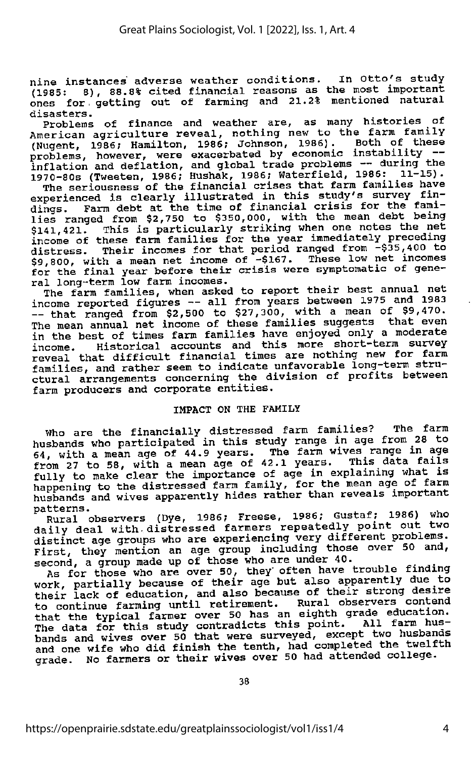nine instances adverse weather conditions. In Otto's study (1985: 8), 88.8% cited financial reasons as the most important ones for. getting out of farming and 21.2% mentioned natural disasters.

Problems of finance and weather are, as many histories of<br>American agriculture reveal, nothing new to the farm family (Nugent, 1986; Hamilton, 1986; Johnson, 1986). Both of these problems, however, were exacerbated by economic instability --<br>inflation and deflation, and global trade problems -- during the 1970-80s (Tweeten, 1986; Hushak, 1986; Waterfield, 1986: 11-15).

The seriousness of the financial crises that farm families have experienced is clearly illustrated in this study's survey fin dings. Farm debt at the time of financial crisis for the fami lies ranged from \$2,750 to \$350,000, with the mean debt being<br>\$141,421. This is particularly striking when one notes the net \$141,421. This is particularly striking when one notes the net income of these farm families for the year immediately preceding distress. Their incomes for that period ranged from -\$35,400 to \$9,800, with a mean net income of -\$167. These low net incomes for the final year before their crisis were symptomatic of gene ral long-term low farm incomes.

The farm families, when asked to report their best annual net<br>income reported figures -- all from years between 1975 and 1983  $\frac{1}{\sqrt{1-\frac{1}{\sqrt{1-\frac{1}{\sqrt{1-\frac{1}{\sqrt{1-\frac{1}{\sqrt{1-\frac{1}{\sqrt{1-\frac{1}{\sqrt{1-\frac{1}{\sqrt{1-\frac{1}{\sqrt{1-\frac{1}{\sqrt{1-\frac{1}{\sqrt{1-\frac{1}{\sqrt{1-\frac{1}{\sqrt{1-\frac{1}{\sqrt{1-\frac{1}{\sqrt{1-\frac{1}{\sqrt{1-\frac{1}{\sqrt{1-\frac{1}{\sqrt{1-\frac{1}{\sqrt{1-\frac{1}{\sqrt{1-\frac{1}{\sqrt{1-\frac{1}{\sqrt{1-\frac{1}{\sqrt{1-\frac{1}{\sqrt{1-\frac{1$ The mean annual net income of these families suggests that even in the best of times farm families have enjoyed only a moderate<br>income. Historical accounts and this more short-term survey Historical accounts and this more short-term survey reveal that difficult financial times are nothing new for farm families, and rather seem to indicate unfavorable long-term structural arrangements concerning the division of profits between farm producers and corporate entities.

#### IMPACT ON THE FAMILY

Who are the financially distressed farm families? The fana husbands who participated in this study range in age from 28 to 64, with <sup>a</sup> mean age of 44.9 years. The farm wives range in age from 27 to 58, with <sup>a</sup> mean age of 42.1 years. This data fails fully to make clear the importance of age in explaining what is<br>happening to the distressed farm family, for the mean age of farm husbands and wives apparently hides rather than reveals important<br>patterns. nassanas en mente <sub>11</sub>.<br>patterns.

Rural observers (Dye, 1986; Freese, 1986; Gustaf; 1986) who daily deal with distressed farmers repeatedly point out two<br>distinct age groups who are experiencing very different problems. distinct age groups who are experiencing very different problems.<br>First, they mention an age group including those over 50 and, second, a group made up of those who are under 40.

As for those who are over 50, they' often have trouble finding work, partially because of their age but also apparently due to their lack of education, and also because of their strong desire<br>to continue farming until retirement. Rural observers contend to continue farming until retirement. Rural observers contend that the typical farmer over 50 has an eighth grade education. The data for this study contradicts this point. All farm hus bands and wives over 50 that were surveyed, except two husbands and one wife who did finish the tenth, had completed the twelfth grade. No farmers or their wives over 50 had attended college.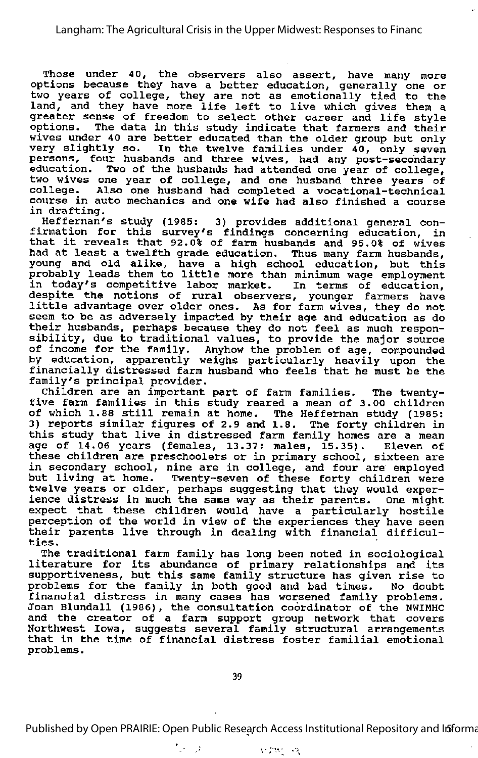Those under 40, the observers also assert, have many more options because they have <sup>a</sup> better education, generally one or two years of college, they are not as emotionally tied to the ewo years of correge, they are not as emocronarry tred to the<br>land, and they have more life left to live which gives them a greater sense of freedom to select other career and life style graduct behave of freedom to Sereet other career and fire styre<br>options. The data in this study indicate that farmers and their wives under 40 are better educated than the older group but only very slightly so. In the twelve families under 40, only seven persons, four husbands and three wives, had any post-secondary education. Two of the husbands had attended one year of college, two wives one year of college, and one husband three years of college. Also one husband had completed a vocational-technical course in auto mechanics and one wife had also finished <sup>a</sup> course in drafting.

Heffernan's study (1985: 3) provides additional general con firmation for this survey's findings concerning education, in that it reveals that 92.0% of farm husbands and 95.0% of wives had at least <sup>a</sup> twelfth grade education. Thus many farm husbands, young and old alike, have <sup>a</sup> high school education, but this probably leads them to little more than minimum wage employment in today's competitive labor market. despite the notions of rural observers, younger farmers have little advantage over older ones. As for farm wives, they do not seem to be as adversely impacted by their age and education as do their husbands, perhaps because they do not feel as much respon sibility, due to traditional values, to provide the major source of income for the family. Anyhow the problem of age, compounded by education, apparently weighs particularly heavily upon the financially distressed farm husband who feels that he must be the family's principal provider.

children are an important part of farm families. The twentyfive farm families in this study reared <sup>a</sup> mean of 3.00 children of which 1.88 still remain at home. The Heffernan study (1985: 3) reports similar figures of 2.9 and 1.8. The forty children in this study that live in distressed farm family homes are <sup>a</sup> mean age of 14.06 years (females, 13.37? males, 15.35). Eleven of these children are preschoolers or in primary school, sixteen are in secondary school, nine are in college, and four are employed In secondary school, hine are in correge, and four are employed<br>but living at home. Twenty-seven of these forty children were twelve years or older, perhaps suggesting that they would expert ience distress in much the same way as their parents. One might expect that these children would have a particularly hostile perception of the world in view of the experiences they have seen their parents live through in dealing with financial difficul ties.

The traditional farm family has long been noted in sociological literature for its abundance of primary relationships and its supportiveness, but this same family structure has given rise to problems for the family in both good and bad times. No doubt financial distress in many cases has worsened family problems. Joan Blundall (1986), the consultation coordinator of the NWIMHC and the creator of <sup>a</sup> farm support group network that covers Northwest Iowa, suggests several family structural arrangements that in the time of financial distress foster familial emotional problems.

 $\mathcal{L} = \mathcal{L}$ 

Published by Open PRAIRIE: Open Public Research Access Institutional Repository and Informa

**SEPTENT STA**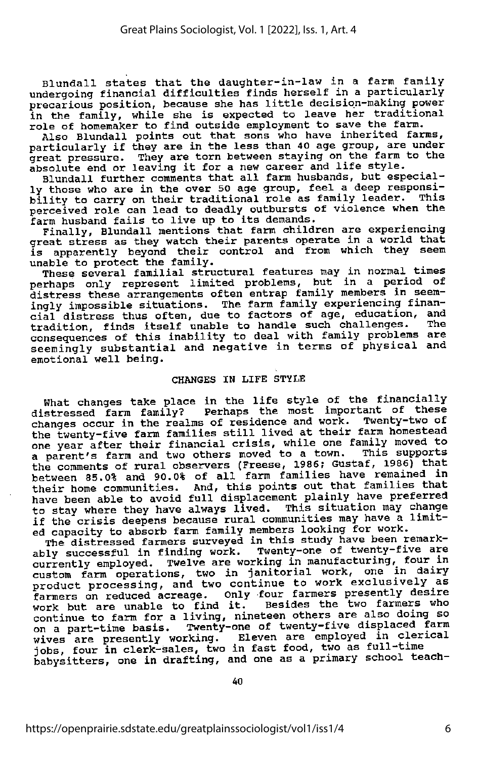Blundall states that the daughter-in-law in <sup>a</sup> farm family undergoing financial difficulties finds herself in <sup>a</sup> particularly precarious position, because she has little decision-making power in the family, while she is expected to leave her traditional role of homemaker to find outside employment to save the farm.

Also Blundall points out that sons who have inherited farms,<br>particularly if they are in the less than 40 age group, are under great pressure. They are torn between staying on the farm to the great pressure. They are torn between staying on the runm<br>absolute end or leaving it for a new career and life style.

Blundall further comments that all farm husbands, but especial ly those who are in the over 50 age group, feel a deep responsi-<br>bility to carry on their traditional role as family leader. This perceived role can lead to deadly outbursts of violence when the farm husband fails to live up to its demands.

Finally, Blundall mentions that farm children are experiencing great stress as they watch their parents operate in a world that is apparently beyond their control and from which they seem unable to protect the family.

These several familial structural features may in normal times perhaps only represent limited problems, but in a period of distress these arrangements often entrap family members in seem ingly impossible situations. The farm family experiencing finan cial distress thus often, due to factors of age, education, and tradition, finds itself unable to handle such challenges. The consequences of this inability to deal with family problems are seemingly substantial and negative in terms of physical and emotional well being.

#### CHANGES IN LIFE STYLE

What changes take place in the life style of the financially distressed farm family? Perhaps the most important of these<br>changes occur in the realms of residence and work. Twenty-two of the twenty-five farm families still lived at their farm homestead one year after their financial crisis, while one family moved to a parent's farm and two others moved to a town. This supports a parent's farm and two others moved to a town. This supports<br>the comments of rural observers (Freese, 1986; Gustaf, 1986) that between 85.0% and 90.0% of all farm families have remained in their home communities. And, this points out that families that have been able to avoid full displacement plainly have preferred<br>to stay where they have always lived. This situation may change if the crisis deepens because rural communities may have a limit-

ed capacity to absorb farm family members looking for work.<br>The distressed farmers surveyed in this study have been remark ably successful in finding work. Twenty-one of twenty-five are currently employed. Twelve are working in manufacturing, four in custom farm operations, two in janitorial work, one in dairy product processing, and two continue to work exclusively as farmers on reduced acreage. Only four farmers presently desire work but are unable to find it. Besides the two farmers who continue to farm for a living, nineteen others are also doing so on a part-time basis. Twenty-one of twenty-five displaced farm wives are presently working. Eleven are employed in clerical jobs, four in clerk-sales, two in fast food, two as full-time babysitters, one in drafting, and one as a primary school teach-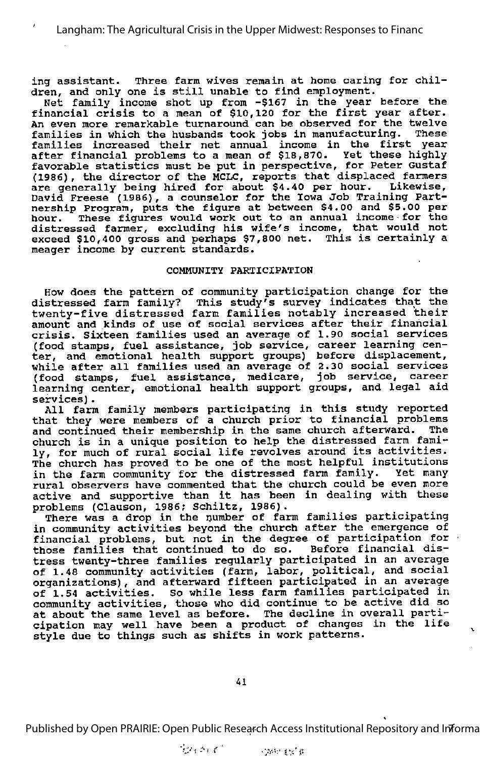ing assistant. Three farm wives remain at home caring for chil dren, and only one is still unable to find employment.

Net family income shot up from -\$167 in the year before the financial crisis to <sup>a</sup> mean of \$10,120 for the first year after. An even more remarkable turnaround can be observed for the twelve<br>families in which the busbands took jobs in manufacturing. These families in which the husbands took jobs in manufacturing. families increased their net annual income in the first year after financial problems to <sup>a</sup> mean of \$18,870. Yet these highly favorable statistics must be put in perspective, for Peter Gustaf (1986), the director of the MCLC, reports that displaced farmers are generally being hired for about \$4.40 per hour. Likewise, David Freese (1986), a counselor for the Iowa Job Training Part nership Program, puts the figure at between \$4.00 and \$5.00 per hour. These figures would work out to an annual income for the distressed farmer, excluding his wife's income, that would not exceed \$10,400 gross and perhaps \$7,800 net. This is certainly <sup>a</sup> meager income by current standards.

#### COMMUNITY PARTICIPATION

How does the pattern of community participation change for the distressed farm family? This study's survey indicates that the twenty-five distressed farm families notably increased their amount and kinds of use of social services after their financial crisis. Sixteen families used an average of 1.90 social services (food stamps, fuel assistance, job service, career learning cen ter, and emotional health support groups) before displacement, while after all families used an average of 2.30 social services (food stamps, fuel assistance, medicare, job service, career learning center, emotional health support groups, and legal aid services).

All farm family members participating in this study reported that they were members of a church prior to financial problems and continued their membership in the same church afterward. The church is in <sup>a</sup> unique position to help the distressed farm fami ly, for much of rural social life revolves around its activities. The church has proved to be one of the most helpful institutions<br>in the farm community for the distressed farm family. Yet many in the farm community for the distressed farm family. rural observers have commented that the church could be even more active and supportive than it has been in dealing with these problems (Clauson, 1986? Schiltz, 1986).

There was a drop in the number of farm families participating in community activities beyond the church after the emergence of financial problems, but not in the degree of participation for those families that continued to do so. Before financial distress twenty-three families regularly participated in an average of 1.48 community activities (farm, labor, political, and social organizations), and afterward fifteen participated in an average of 1.54 activities. So while less farm families participated in community activities, those who did continue to be active did so at about the same level as before. The decline in overall parti cipation may well have been a product of changes in the life style due to things such as shifts in work patterns.

Published by Open PRAIRIE: Open Public Research Access Institutional Repository and Informa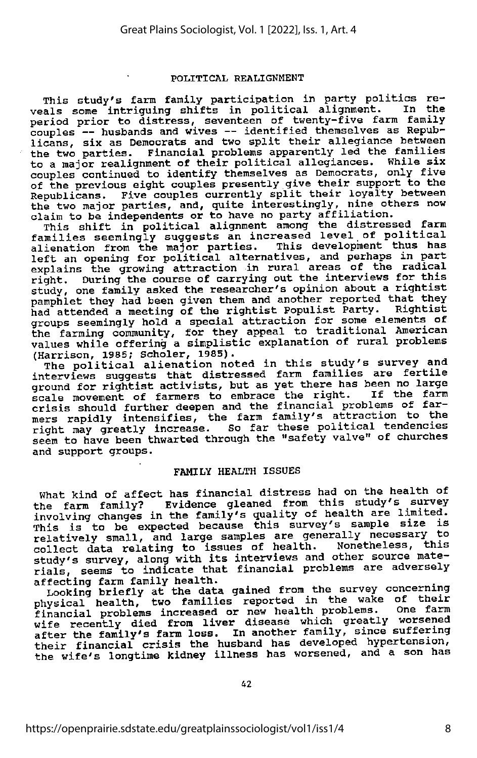#### POLITICAL REALIGNMENT

This study's farm family participation in party politics re veals some intriguing shifts in political alignment. In the period prior to distress, seventeen of twenty-five farm family period prior to distress, seventeen of twenty-five farm family couples — husbands and wives — identified themselves as Repub licans, six as Democrats and two split their allegiance between the two parties. Financial problems apparently led the families<br>to a major realignment of their political allegiances. While six to a major realignment of their political allegiances. couples continued to identify themselves as Democrats, only five of the previous eight couples presently give their support to the Republicans. Five couples currently split their loyalty between the two major parties, and, quite interestingly, nine others now claim to be independents or to have no party affiliation.

This shift in political alignment among the distressed farm families seemingly suggests an increased level of political alienation from the major parties. This development thus has alleficial flow the major particular contractives, and perhaps in part left an opening for political alternatives, and perhaps in part explains the growing attraction in rural areas of the radical explains the growing attraction in rural areas of the radical<br>right. During the course of carrying out the interviews for this<br>study, one family asked the researcher's opinion about a rightist pamphlet they had been given them and another reported that they<br>had attended a meeting of the rightist Populist Party. Rightist had attended a meeting of the rightist Populist Party. groups seemingly hold a special attraction for some elements of the farming community, for they appeal to traditional American values while offering a simplistic explanation of rural problems

(Harrison, 1985; Scholer, 1985). The political alienation noted in this study's survey and interviews suggests that distressed farm families are fertile ground for rightist activists, but as yet there has been no large scale movement of farmers to embrace the right. If the farm crisis should further deepen and the financial problems of far mers rapidly intensifies, the farm family's attraction to the right may greatly increase. So far these political tendencies seem to have been thwarted through the "safety valve" of churches and support groups.

#### FAMILY HEALTH ISSUES

What kind of affect has financial distress had on the health of<br>the farm family? Evidence gleaned from this study's survey the farm family? Evidence gleaned from this study's survey<br>involving changes in the family's quality of health are limited. This is to be expected because this survey's sample size is relatively small, and large samples are generally necessary to collect data relating to issues of health. Nonetheless, this study's survey, along with its interviews and other source mate rials, seems to indicate that financial problems are adversely

affecting farm family health.<br>Looking briefly at the data gained from the survey concerning Looking briefly at the data gained from the survey concerning<br>physical health, two families reported in the wake of their financial problems increased or new health problems. One farm wife recently died from liver disease which greatly worsened after the family's farm loss. In another family, since suffering their financial crisis the husband has developed hypertension, the wife's longtime kidney illness has worsened, and a son has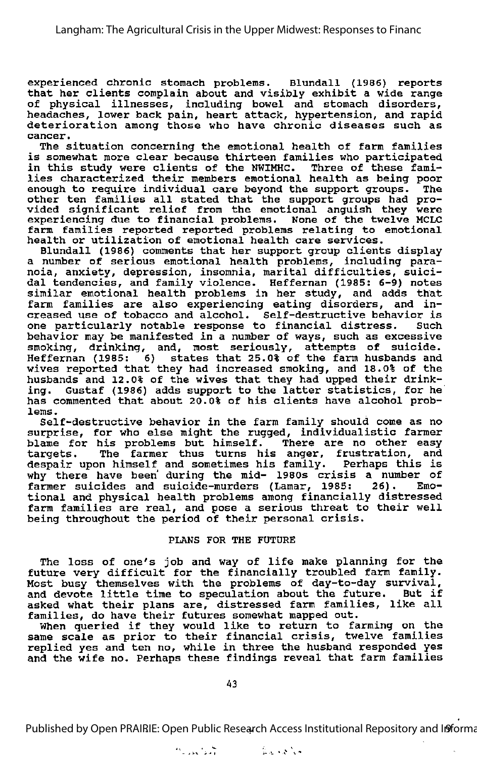experienced chronic stomach problems. Blundall (1986) reports that her clients complain about and visibly exhibit <sup>a</sup> wide range of physical illnesses, including bowel and stomach disorders, headaches, lower back pain, heart attack, hypertension, and rapid deterioration among those who have chronic diseases such as cancer.

The situation concerning the emotional health of farm families is somewhat more clear because thirteen families who participated in this study were clients of the NWIMHC. Three of these fami lies characterized their members emotional health as being poor enough to require individual care beyond the support groups. The other ten families all stated that the support groups had pro vided significant relief from the emotional anguish they were experiencing due to financial problems. None of the twelve MCLC farm families reported reported problems relating to emotional health or utilization of emotional health care services.

Blundall (1986) comments that her support group clients display a number of serious emotional health problems, including para noia, anxiety, depression, insomnia, marital difficulties, suici dal tendencies, and family violence. Heffernan (1985: 6-9) notes similar emotional health problems in her study, and adds that farm families are also experiencing eating disorders, and in creased use of tobacco and alcohol. Self-destructive behavior is one particularly notable response to financial distress. behavior may be manifested in <sup>a</sup> number of ways, such as excessive smoking, drinking, and, most seriously, attempts of suicide. Heffernan (1985: 6) states that 25.0% of the farm husbands and wives reported that they had increased smoking, and 18.0% of the husbands and 12.0% of the wives that they had upped their drink ing. Gustaf (1986) adds support to the latter statistics, for he has commented that about 20.0% of his clients have alcohol problems.

Self-destructive behavior in the farm family should come as no surprise, for who else might the rugged, individualistic farmer blame for his problems but himself. There are no other easy targets. The farmer thus turns his anger, frustration, and despair upon himself and sometimes his family. Perhaps this is why there have been' during the mid- 1980s crisis a number of farmer suicides and suicide-murders (Lamar, 1985: 26). Emo tional and physical health problems among financially distressed farm families are real, and pose <sup>a</sup> serious threat to their well being throughout the period of their personal crisis.

#### PLANS FOR THE FUTURE

The loss of one's job and way of life make planning for the future very difficult for the financially troubled farm family. Most busy themselves with the problems of day-to-day survival, and devote little time to speculation about the future. asked what their plans are, distressed farm families, like all families, do have their futures somewhat mapped out.

When queried if they would like to return to farming on the same scale as prior to their financial crisis, twelve families replied yes and ten no, while in three the husband responded yes and the wife no. Perhaps these findings reveal that farm families

Published by Open PRAIRIE: Open Public Research Access Institutional Repository and Informa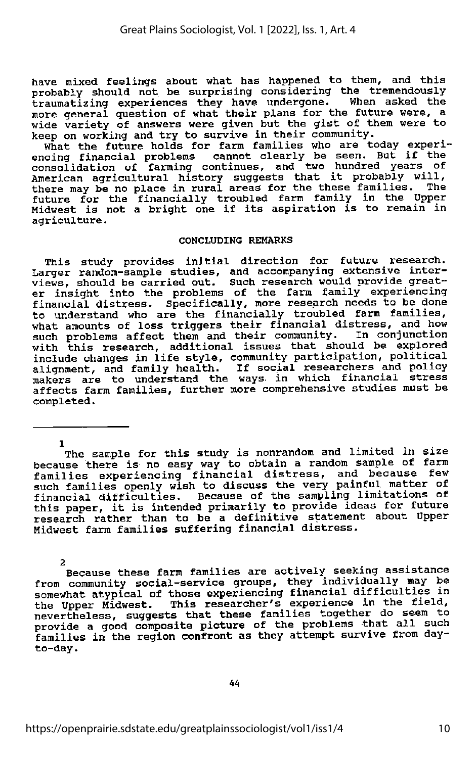have mixed feelings about what has happened to them, and this probably should not be surprising considering the tremendously traumatizing experiences they have undergone. When asked the more general question of what their plans for the future were, a wide variety of answers were given but the gist of them were to wide variety of answers were given but the gist of them were to<br>keep on working and try to survive in their community.

What the future holds for farm families who are today experiencing financial problems cannot clearly be seen. But if the<br>consolidation of farming continues, and two hundred years of<br>American agricultural history suggests that it probably will,<br>there may be no place in rural areas f future for the financially troubled farm family in the Upper Midwest is not <sup>a</sup> bright one if its aspiration is to remain in agriculture.

#### CONCLUDING REMARKS

This study provides initial direction for future research. Larger random-sample studies, and accompanying extensive inter views, should be carried out. Such research would provide great er insight into the problems of the farm family experiencing financial distress. Specifically, more research needs to be done to understand who are the financially troubled farm families, what amounts of loss triggers their financial distress, and how<br>such problems affect them and their community. In conjunction with this research, additional issues that should be explored<br>include changes in life style, community participation, political alignment, and family health. If social researchers and policy<br>makers are to understand the ways in which financial stress affects farm families, further more comprehensive studies must be completed.

1 The sample for this study is nonrandom and limited in size because there is no easy way to obtain a random sample of farm families experiencing financial distress, and because few such families openly wish to discuss the very painful matter of financial difficulties. Because of the sampling limitations of this paper, it is intended primarily to provide ideas for future research rather than to be <sup>a</sup> definitive statement about Upper Midwest farm families suffering financial distress.

2 Because these farm families are actively seeking assistance from community social-service groups, they individually may be somewhat atypical of those experiencing financial difficulties in the Upper Midwest. This researcher's experience in the field, nevertheless, suggests that these families together do seem to provide a good composite picture of the problems that all such families in the region confront as they attempt survive from dayto-day.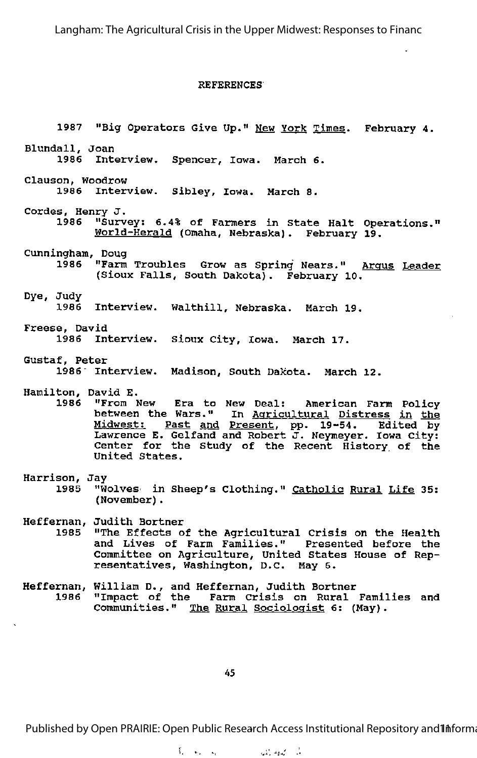Langham: The Agricultural Crisis in the Upper Midwest: Responses to Financ

#### REFERENCES

1987 "Big Operators Give Up." New York Times. February 4. Blundall, Joan Interview. Spencer, Iowa. March 6. Clausen, Woodrow 1986 Interview. Sibley, Iowa. March 8. Cordes, Henry J. 1986 "Survey: 6.4% of Farmers in State Halt Operations." World-Herald (Omaha, Nebraska). February 19. Cunningham, Doug 1986 "Farm Troubles Grow as Spring Nears." Argus Leader (Sioux Falls, South Dakota). February 10. Dye, Judy 1986 Interview. Walthill, Nebraska. March 19. Freese, David 1986 Interview. Sioux City, Iowa. March 17. Gustaf, Peter 1986" Interview. Madison, South Dakota. March 12. Hamilton, David E.<br>1986 "From N 1986 "From New Era to New Deal: American Farm Policy between the Wars." In Agricultural Distress in the Midwest: Past and Present, pp. 19-54. Edited by Lawrence E. Gelfand and Robert J. Neymeyer. Iowa City: Center for the Study of the Recent History of the United States. Harrison, Jay<br>1985 "W "Wolves in Sheep's Clothing." Catholic Rural Life 35: (November). Heffernan, Judith Bortner "The Effects of the Agricultural Crisis on the Health and Lives of Farm Families." Presented before the Committee on Agriculture, United States House of Rep resentatives, Washington, D.C. May 6. Heffernan, William D., and Heffernan, Judith Bortner 1986 "Impact of the Farm Crisis on Rural Families and Communities." The Rural Sociologist 6: (May).

45

Published by Open PRAIRIE: Open Public Research Access Institutional Repository and Informa

 $\mathcal{L}_{\rm{max}}$  , where  $\mathcal{L}_{\rm{max}}$ أمان المومان كلاية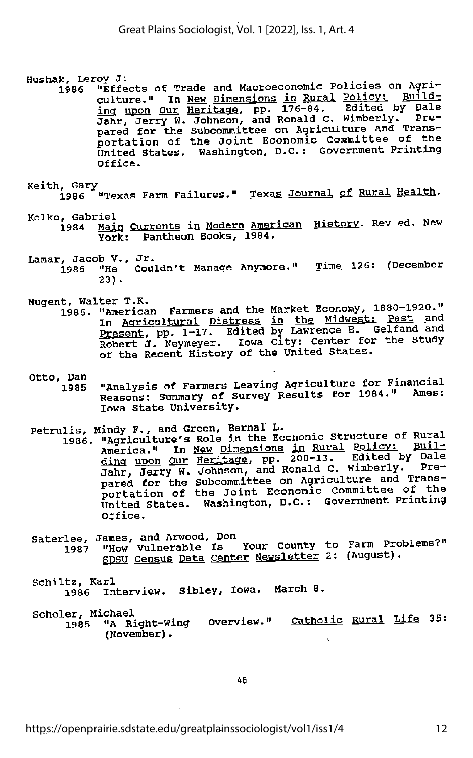Hushak, Leroy J:<br>1986 "Effects of Trade and Macroeconomic Policies on Agri-1986 "Effects of Trade and Macroeconomic Policies on Agrical policy; Build<br>culture." In <u>New Dimensions in Rural Policy;</u> Build ing upon Our Heritage, pp. 176-84. Edited by Dale Jahr, Jerry W. Johnson, and Ronald C. Wimberly. Pre pared for the Subcommittee on Agriculture and Trans-<br>portation of the Joint Economic Committee of the United States. Washington, D.C.; Government Printing Office.

Keith, Gary<br>1986 "Texas Farm Failures." <u>Texas Journal of Rural Health</u>.

- Kolko, Gabriel<br>1984 <u>Main Currents in Modern American History</u>. Rev ed. New York: Pantheon Books, 1984.
	- Lamar, Jacob V., Jr. . . 1985 "He Couldn't Manage Anymore." Time 126: (December 23).
	- Nugent, Walter T.K. ..
		- 1986. "American Farmers and the Market Economy, 1880 1920. In <u>Agricultural</u> Distress in the Midwest: Past and Present, pp. 1-17. Edited by Lawrence E. Gelfand and Robert J. Neymeyer. Iowa City: Center for the Study of the Recent History of the United States.
	- Otto, Dan<br>1985 "Analysis of Farmers Leaving Agriculture for Financial Reasons: Summary of Survey Results for 1984." Ames: Iowa State University.
	-
	- Petrulis, Mindy F., and Green, Bernal L.<br>1986. "Agriculture's Role in the Economic Structure of Rural America." In New Dimensions in Rural Policy: Building upon Our Heritage, pp. 200-13. Edited by Dai<br>Jahr, Jerry W. Johnson, and Ronald C. Wimberly. Pre<br>pared for the Subcommittee on Agriculture and Trans pared for the Subcommittee on Agriculture and Trans-<br>portation of the Joint Economic Committee of the United States. Washington, D.C.: Government Printing Office.
	- Saterlee, James, and Arwood, Don 1987 "How Vulnerable Is Your County to Farm Problems? <u>SDSU Census Data Center Newsletter</u> 2: (August).
	- Schiltz, Karl 1986 Interview. Sibley, Iowa. March 8.

Scholer, Michael . , . " . t ^ -ik. 1985 "A Right-Wing Overview." <u>Catholic Rural Life</u> 35: (November).

46